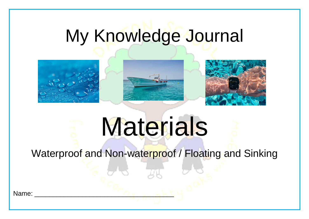## My Knowledge Journal



# Materials

Waterproof and Non-waterproof / Floating and Sinking

Name: \_\_\_\_\_\_\_\_\_\_\_\_\_\_\_\_\_\_\_\_\_\_\_\_\_\_\_\_\_\_\_\_\_\_\_\_\_\_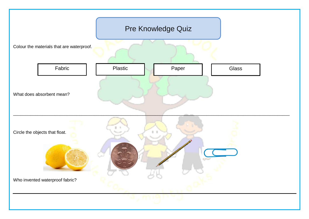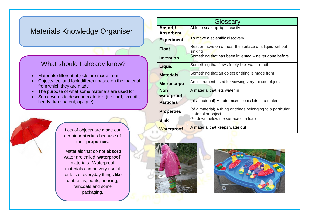#### Materials Knowledge Organiser

#### What should I already know?

- Materials different objects are made from
- Objects feel and look different based on the material from which they are made
- The purpose of what some materials are used for
- Some words to describe materials (i.e hard, smooth, bendy, transparent, opaque)

Lots of objects are made out certain **materials** because of their **properties**.

Materials that do not **absorb** water are called '**waterproof**' materials. Waterproof materials can be very useful for lots of everyday things like umbrellas, boats, housing, raincoats and some packaging.

| Glossary                 |                                                                                   |
|--------------------------|-----------------------------------------------------------------------------------|
| Absorb/                  | Able to soak up liquid easily                                                     |
| <b>Absorbent</b>         |                                                                                   |
| <b>Experiment</b>        | To make a scientific discovery                                                    |
| <b>Float</b>             | Rest or move on or near the surface of a liquid without<br>sinking                |
| <b>Invention</b>         | Something that has been invented – never done before                              |
| <b>Liquid</b>            | Something that flows freely like water or oil                                     |
| <b>Materials</b>         | Something that an object or thing is made from                                    |
| <b>Microscope</b>        | An instrument used for viewing very minute objects                                |
| <b>Non</b><br>waterproof | A material that lets water in                                                     |
| <b>Particles</b>         | (of a material) Minute microscopic bits of a material                             |
| <b>Properties</b>        | (of a material) A thing or things belonging to a particular<br>material or object |
| <b>Sink</b>              | Go down below the surface of a liquid                                             |
| <b>Waterproof</b>        | A material that keeps water out                                                   |



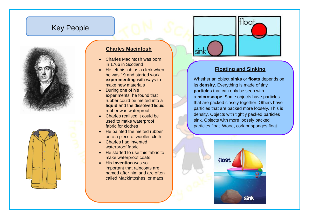### Key People





#### **Charles Macintosh**

- Charles Macintosh was born in 1766 in Scotland
- He left his job as a clerk when he was 19 and started work **experimenting** with ways to make new materials
- During one of his experiments, he found that rubber could be melted into a **liquid** and the dissolved liquid rubber was waterproof
- Charles realised it could be used to make waterproof fabric for clothes
- He painted the melted rubber onto a piece of woollen cloth
- Charles had invented waterproof fabric!
- He started to use this fabric to make waterproof coats
- His **invention** was so important that raincoats are named after him and are often called Mackintoshes, or macs



#### **Floating and Sinking**

Whether an object **sinks** or **floats** depends on its **density**. Everything is made of tiny **particles** that can only be seen with a **[microscope](https://easyscienceforkids.com/things-you-cant-see-microscopic-life/)**. Some objects have particles that are packed closely together. Others have particles that are packed more loosely. This is density. Objects with tightly packed particles sink. Objects with more loosely packed particles float. Wood, cork or sponges float.